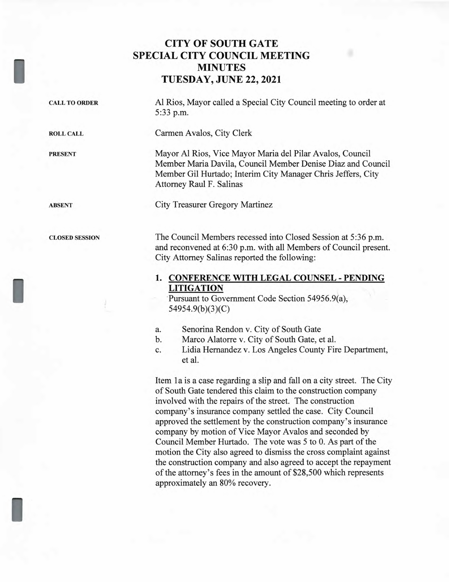## **CITY OF SOUTH GATE SPECIAL CITY COUNCIL MEETING MINUTES TUESDAY, JUNE 22, 2021**

| <b>CALL TO ORDER</b>  | Al Rios, Mayor called a Special City Council meeting to order at<br>5:33 p.m.                                                                                                                                        |
|-----------------------|----------------------------------------------------------------------------------------------------------------------------------------------------------------------------------------------------------------------|
| <b>ROLL CALL</b>      | Carmen Avalos, City Clerk                                                                                                                                                                                            |
| <b>PRESENT</b>        | Mayor Al Rios, Vice Mayor Maria del Pilar Avalos, Council<br>Member Maria Davila, Council Member Denise Diaz and Council<br>Member Gil Hurtado; Interim City Manager Chris Jeffers, City<br>Attorney Raul F. Salinas |
| <b>ABSENT</b>         | <b>City Treasurer Gregory Martinez</b>                                                                                                                                                                               |
| <b>CLOSED SESSION</b> | The Council Members recessed into Closed Session at 5:36 p.m.<br>and reconvened at 6:30 p.m. with all Members of Council present.<br>City Attorney Salinas reported the following:                                   |
|                       | <b>CONFERENCE WITH LEGAL COUNSEL - PENDING</b><br>1.<br><b>LITIGATION</b><br>Pursuant to Government Code Section 54956.9(a),<br>54954.9(b)(3)(C)                                                                     |
|                       |                                                                                                                                                                                                                      |

- a. Senorina Rendon v. City of South Gate
- b. Marco Alatorre v. City of South Gate, et al.
- c. Lidia Hernandez v. Los Angeles County Fire Department, et al.

Item 1a is a case regarding a slip and fall on a city street. The City of South Gate tendered this claim to the construction company involved with the repairs of the street. The construction company's insurance company settled the case. City Council approved the settlement by the construction company's insurance company by motion of Vice Mayor Avalos and seconded by Council Member Hurtado. The vote was 5 to 0. As part of the motion the City also agreed to dismiss the cross complaint against the construction company and also agreed to accept the repayment of the attorney's fees in the amount of \$28,500 which represents approximately an 80% recovery.